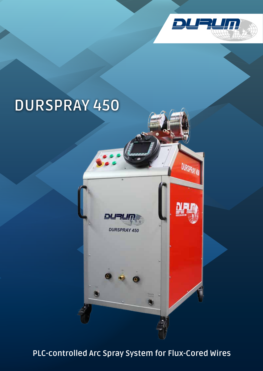

# **DURSPRAY 450**



**PLC-controlled Arc Spray System for Flux-Cored Wires**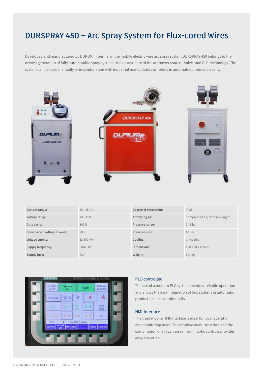# **DURSPRAY 450 – Arc Spray System for Flux-cored Wires**

Developed and manufactured by DURUM in Germany, the mobile electric wire arc spray system DURSPRAY 450 belongs to the newest generation of fully automatable spray systems. It features state of the art power source-, valve- and PLC-technology. The system can be used manually or in combination with industrial manipulators or robots in automated production cells.



| Current range:                 | $50 - 450A$ | Degree of protection: | IP23                            |
|--------------------------------|-------------|-----------------------|---------------------------------|
| Voltage range:                 | $20 - 38V$  | Atomizing gas:        | Compressed air, Nitrogen, Argon |
| Duty cycle:                    | 100%        | Pressure range:       | $2 - 8$ bar                     |
| Open circuit voltage Inventer: | 90 V        | Pressure max.:        | 10 <sub>bar</sub>               |
| Voltage supply:                | 3x 400 V+N  | Cooling:              | air cooled                      |
| Supply frequency:              | 50/60 Hz    | Dimensions:           | 100 x 60 x 120 cm               |
| Supply fuse:                   | 63A         | Weight:               | 104 kg                          |



## PLC-controlled

The use of a modern PLC system provides reliable operation and allows the easy integration of bus systems in automatic production lines or robot cells.

#### HMI-Interface

The used mobile HMI-interface is ideal for local operation and monitoring tasks. The intuitive menu structure and the combination of a touch screen with haptic controls provides easy operation.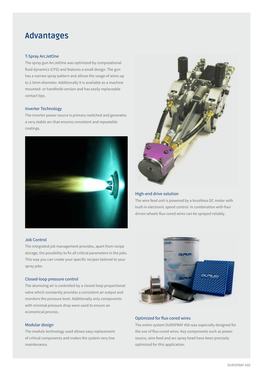# **Advantages**

#### T-Spray ArcJetOne

The spray gun ArcJetOne was optimized by computational fluid dynamics (CFD) and features a small design. The gun has a narrow spray pattern and allows the usage of wires up to 2.5mm diameter. Additionally it is available as a machine mounted- or handheld-version and has easily replaceable contact tips.

#### Inverter Technology

The inverter power source is primary-switched and generates a very stable arc that ensures consistent and repeatable coatings.



#### Job Control

The integrated job management provides, apart from recipe storage, the possibility to fix all critical parameters in the jobs. This way you can create your specific recipes tailored to your spray jobs.

#### Closed-loop pressure control

The atomizing air is controlled by a closed-loop proportional valve which constantly provides a consistent air output and monitors the pressure level. Additionally only components with minimal pressure drop were used to ensure an economical process.

## Modular design

The module technology used allows easy replacement of critical components and makes the system very low maintenance.



#### High-end drive solution

The wire feed unit is powered by a brushless DC motor with built-in electronic speed control. In combination with four driven wheels flux-cored wires can be sprayed reliably.



#### Optimized for flux-cored wires

The entire system DURSPRAY 450 was especially designed for the use of flux-cored wires. Key components such as power source, wire feed and arc spray head have been precisely optimized for this application.